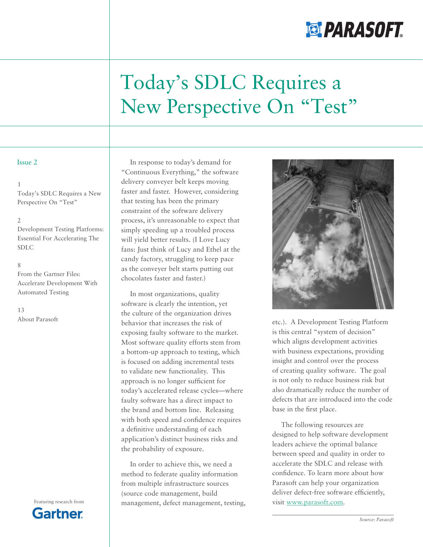# **ELPARASOFT**

# Today's SDLC Requires a New Perspective On "Test"

#### Issue 2

#### 1

Today's SDLC Requires a New Perspective On "Test"

#### 2

Development Testing Platforms: Essential For Accelerating The SDLC

#### 8

From the Gartner Files: Accelerate Development With Automated Testing

Gartner

13 About Parasoft

In response to today's demand for "Continuous Everything," the software delivery conveyer belt keeps moving faster and faster. However, considering that testing has been the primary constraint of the software delivery process, it's unreasonable to expect that simply speeding up a troubled process will yield better results. (I Love Lucy fans: Just think of Lucy and Ethel at the candy factory, struggling to keep pace as the conveyer belt starts putting out chocolates faster and faster.)

In most organizations, quality software is clearly the intention, yet the culture of the organization drives behavior that increases the risk of exposing faulty software to the market. Most software quality efforts stem from a bottom-up approach to testing, which is focused on adding incremental tests to validate new functionality. This approach is no longer sufficient for today's accelerated release cycles—where faulty software has a direct impact to the brand and bottom line. Releasing with both speed and confidence requires a definitive understanding of each application's distinct business risks and the probability of exposure.

In order to achieve this, we need a method to federate quality information from multiple infrastructure sources (source code management, build Featuring research from management, defect management, testing,



etc.). A Development Testing Platform is this central "system of decision" which aligns development activities with business expectations, providing insight and control over the process of creating quality software. The goal is not only to reduce business risk but also dramatically reduce the number of defects that are introduced into the code base in the first place.

The following resources are designed to help software development leaders achieve the optimal balance between speed and quality in order to accelerate the SDLC and release with confidence. To learn more about how Parasoft can help your organization deliver defect-free software efficiently, visit www.parasoft.com.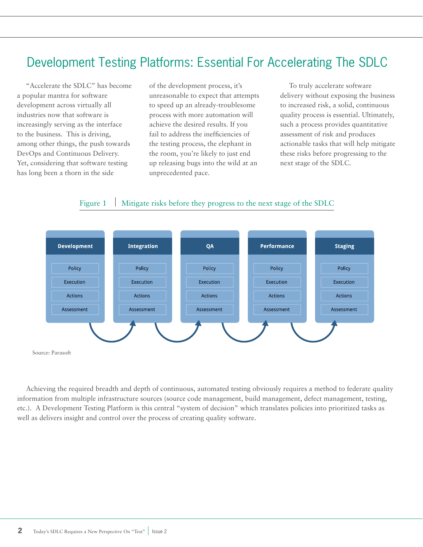## Development Testing Platforms: Essential For Accelerating The SDLC

"Accelerate the SDLC" has become a popular mantra for software development across virtually all industries now that software is increasingly serving as the interface to the business. This is driving, among other things, the push towards DevOps and Continuous Delivery. Yet, considering that software testing has long been a thorn in the side

of the development process, it's unreasonable to expect that attempts to speed up an already-troublesome process with more automation will achieve the desired results. If you fail to address the inefficiencies of the testing process, the elephant in the room, you're likely to just end up releasing bugs into the wild at an unprecedented pace.

To truly accelerate software delivery without exposing the business to increased risk, a solid, continuous quality process is essential. Ultimately, such a process provides quantitative assessment of risk and produces actionable tasks that will help mitigate these risks before progressing to the next stage of the SDLC.

## Figure 1 Mitigate risks before they progress to the next stage of the SDLC



Achieving the required breadth and depth of continuous, automated testing obviously requires a method to federate quality information from multiple infrastructure sources (source code management, build management, defect management, testing, etc.). A Development Testing Platform is this central "system of decision" which translates policies into prioritized tasks as well as delivers insight and control over the process of creating quality software.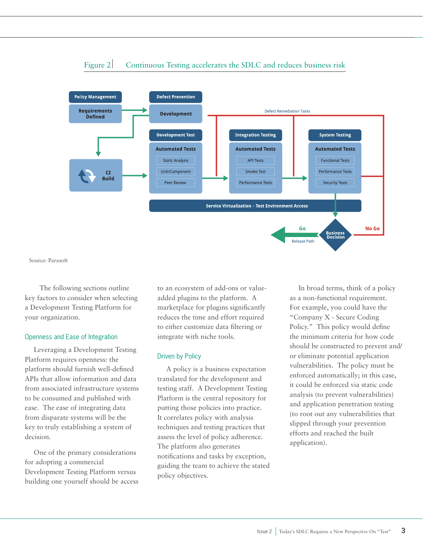

## Figure 2 Continuous Testing accelerates the SDLC and reduces business risk

Source: Parasoft

 The following sections outline key factors to consider when selecting a Development Testing Platform for your organization.

#### Openness and Ease of Integration

Leveraging a Development Testing Platform requires openness: the platform should furnish well-defined APIs that allow information and data from associated infrastructure systems to be consumed and published with ease. The ease of integrating data from disparate systems will be the key to truly establishing a system of decision.

One of the primary considerations for adopting a commercial Development Testing Platform versus building one yourself should be access

to an ecosystem of add-ons or valueadded plugins to the platform. A marketplace for plugins significantly reduces the time and effort required to either customize data filtering or integrate with niche tools.

#### Driven by Policy

A policy is a business expectation translated for the development and testing staff. A Development Testing Platform is the central repository for putting those policies into practice. It correlates policy with analysis techniques and testing practices that assess the level of policy adherence. The platform also generates notifications and tasks by exception, guiding the team to achieve the stated policy objectives.

In broad terms, think of a policy as a non-functional requirement. For example, you could have the "Company X - Secure Coding Policy." This policy would define the minimum criteria for how code should be constructed to prevent and/ or eliminate potential application vulnerabilities. The policy must be enforced automatically; in this case, it could be enforced via static code analysis (to prevent vulnerabilities) and application penetration testing (to root out any vulnerabilities that slipped through your prevention efforts and reached the built application).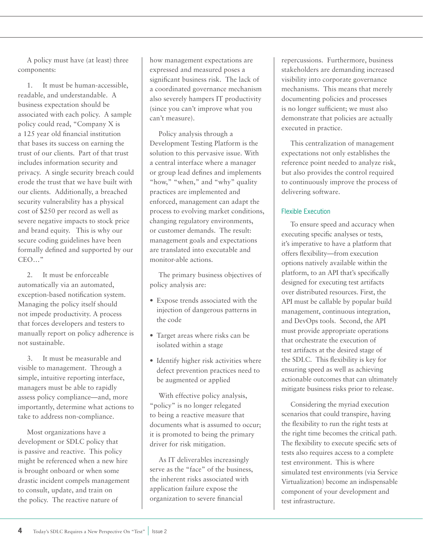A policy must have (at least) three components:

1. It must be human-accessible, readable, and understandable. A business expectation should be associated with each policy. A sample policy could read, "Company X is a 125 year old financial institution that bases its success on earning the trust of our clients. Part of that trust includes information security and privacy. A single security breach could erode the trust that we have built with our clients. Additionally, a breached security vulnerability has a physical cost of \$250 per record as well as severe negative impacts to stock price and brand equity. This is why our secure coding guidelines have been formally defined and supported by our CEO…"

2. It must be enforceable automatically via an automated, exception-based notification system. Managing the policy itself should not impede productivity. A process that forces developers and testers to manually report on policy adherence is not sustainable.

3. It must be measurable and visible to management. Through a simple, intuitive reporting interface, managers must be able to rapidly assess policy compliance—and, more importantly, determine what actions to take to address non-compliance.

Most organizations have a development or SDLC policy that is passive and reactive. This policy might be referenced when a new hire is brought onboard or when some drastic incident compels management to consult, update, and train on the policy. The reactive nature of

how management expectations are expressed and measured poses a significant business risk. The lack of a coordinated governance mechanism also severely hampers IT productivity (since you can't improve what you can't measure).

Policy analysis through a Development Testing Platform is the solution to this pervasive issue. With a central interface where a manager or group lead defines and implements "how," "when," and "why" quality practices are implemented and enforced, management can adapt the process to evolving market conditions, changing regulatory environments, or customer demands. The result: management goals and expectations are translated into executable and monitor-able actions.

The primary business objectives of policy analysis are:

- Expose trends associated with the injection of dangerous patterns in the code
- Target areas where risks can be isolated within a stage
- Identify higher risk activities where defect prevention practices need to be augmented or applied

With effective policy analysis, "policy" is no longer relegated to being a reactive measure that documents what is assumed to occur; it is promoted to being the primary driver for risk mitigation.

As IT deliverables increasingly serve as the "face" of the business, the inherent risks associated with application failure expose the organization to severe financial

repercussions. Furthermore, business stakeholders are demanding increased visibility into corporate governance mechanisms. This means that merely documenting policies and processes is no longer sufficient; we must also demonstrate that policies are actually executed in practice.

This centralization of management expectations not only establishes the reference point needed to analyze risk, but also provides the control required to continuously improve the process of delivering software.

## Flexible Execution

To ensure speed and accuracy when executing specific analyses or tests, it's imperative to have a platform that offers flexibility—from execution options natively available within the platform, to an API that's specifically designed for executing test artifacts over distributed resources. First, the API must be callable by popular build management, continuous integration, and DevOps tools. Second, the API must provide appropriate operations that orchestrate the execution of test artifacts at the desired stage of the SDLC. This flexibility is key for ensuring speed as well as achieving actionable outcomes that can ultimately mitigate business risks prior to release.

Considering the myriad execution scenarios that could transpire, having the flexibility to run the right tests at the right time becomes the critical path. The flexibility to execute specific sets of tests also requires access to a complete test environment. This is where simulated test environments (via Service Virtualization) become an indispensable component of your development and test infrastructure.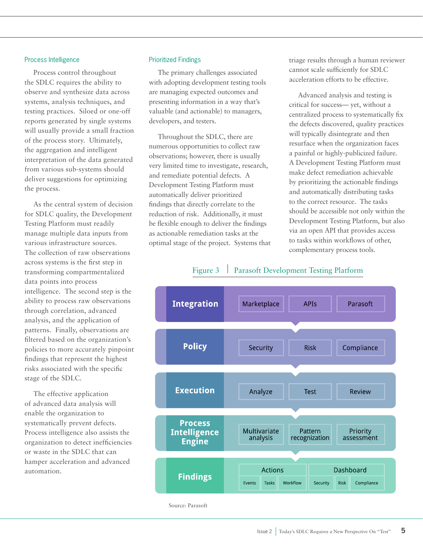#### Process Intelligence

Process control throughout the SDLC requires the ability to observe and synthesize data across systems, analysis techniques, and testing practices. Siloed or one-off reports generated by single systems will usually provide a small fraction of the process story. Ultimately, the aggregation and intelligent interpretation of the data generated from various sub-systems should deliver suggestions for optimizing the process.

As the central system of decision for SDLC quality, the Development Testing Platform must readily manage multiple data inputs from various infrastructure sources. The collection of raw observations across systems is the first step in transforming compartmentalized data points into process intelligence. The second step is the ability to process raw observations through correlation, advanced analysis, and the application of patterns. Finally, observations are filtered based on the organization's policies to more accurately pinpoint findings that represent the highest risks associated with the specific stage of the SDLC.

The effective application of advanced data analysis will enable the organization to systematically prevent defects. Process intelligence also assists the organization to detect inefficiencies or waste in the SDLC that can hamper acceleration and advanced automation.

#### Prioritized Findings

The primary challenges associated with adopting development testing tools are managing expected outcomes and presenting information in a way that's valuable (and actionable) to managers, developers, and testers.

Throughout the SDLC, there are numerous opportunities to collect raw observations; however, there is usually very limited time to investigate, research, and remediate potential defects. A Development Testing Platform must automatically deliver prioritized findings that directly correlate to the reduction of risk. Additionally, it must be flexible enough to deliver the findings as actionable remediation tasks at the optimal stage of the project. Systems that triage results through a human reviewer cannot scale sufficiently for SDLC acceleration efforts to be effective.

Advanced analysis and testing is critical for success— yet, without a centralized process to systematically fix the defects discovered, quality practices will typically disintegrate and then resurface when the organization faces a painful or highly-publicized failure. A Development Testing Platform must make defect remediation achievable by prioritizing the actionable findings and automatically distributing tasks to the correct resource. The tasks should be accessible not only within the Development Testing Platform, but also via an open API that provides access to tasks within workflows of other, complementary process tools.

## Figure 3 Parasoft Development Testing Platform



Source: Parasoft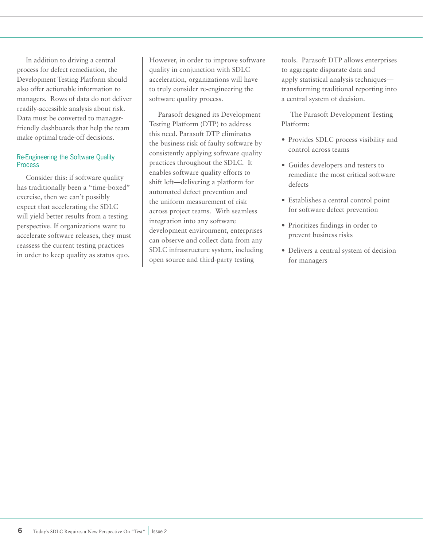In addition to driving a central process for defect remediation, the Development Testing Platform should also offer actionable information to managers. Rows of data do not deliver readily-accessible analysis about risk. Data must be converted to managerfriendly dashboards that help the team make optimal trade-off decisions.

### Re-Engineering the Software Quality Process

Consider this: if software quality has traditionally been a "time-boxed" exercise, then we can't possibly expect that accelerating the SDLC will yield better results from a testing perspective. If organizations want to accelerate software releases, they must reassess the current testing practices in order to keep quality as status quo.

However, in order to improve software quality in conjunction with SDLC acceleration, organizations will have to truly consider re-engineering the software quality process.

Parasoft designed its Development Testing Platform (DTP) to address this need. Parasoft DTP eliminates the business risk of faulty software by consistently applying software quality practices throughout the SDLC. It enables software quality efforts to shift left—delivering a platform for automated defect prevention and the uniform measurement of risk across project teams. With seamless integration into any software development environment, enterprises can observe and collect data from any SDLC infrastructure system, including open source and third-party testing

tools. Parasoft DTP allows enterprises to aggregate disparate data and apply statistical analysis techniques transforming traditional reporting into a central system of decision.

The Parasoft Development Testing Platform:

- Provides SDLC process visibility and control across teams
- Guides developers and testers to remediate the most critical software defects
- Establishes a central control point for software defect prevention
- Prioritizes findings in order to prevent business risks
- Delivers a central system of decision for managers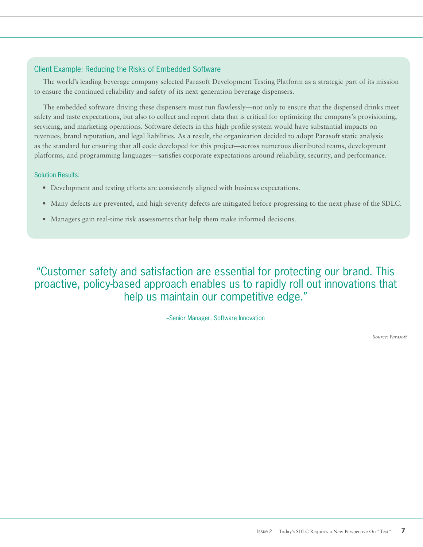## Client Example: Reducing the Risks of Embedded Software

The world's leading beverage company selected Parasoft Development Testing Platform as a strategic part of its mission to ensure the continued reliability and safety of its next-generation beverage dispensers.

The embedded software driving these dispensers must run flawlessly—not only to ensure that the dispensed drinks meet safety and taste expectations, but also to collect and report data that is critical for optimizing the company's provisioning, servicing, and marketing operations. Software defects in this high-profile system would have substantial impacts on revenues, brand reputation, and legal liabilities. As a result, the organization decided to adopt Parasoft static analysis as the standard for ensuring that all code developed for this project—across numerous distributed teams, development platforms, and programming languages—satisfies corporate expectations around reliability, security, and performance.

### Solution Results:

- Development and testing efforts are consistently aligned with business expectations.
- Many defects are prevented, and high-severity defects are mitigated before progressing to the next phase of the SDLC.
- Managers gain real-time risk assessments that help them make informed decisions.

"Customer safety and satisfaction are essential for protecting our brand. This proactive, policy-based approach enables us to rapidly roll out innovations that help us maintain our competitive edge."

#### --Senior Manager, Software Innovation

*Source: Parasoft*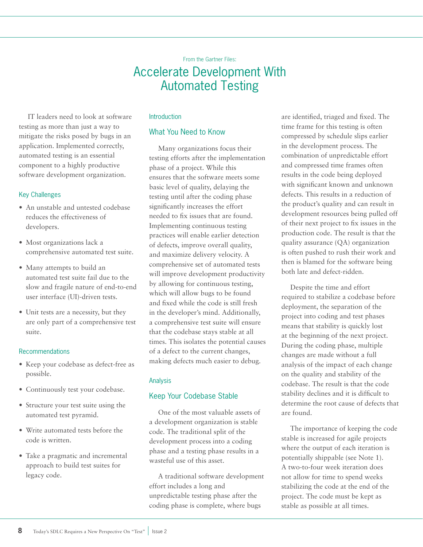## From the Gartner Files: Accelerate Development With Automated Testing

IT leaders need to look at software testing as more than just a way to mitigate the risks posed by bugs in an application. Implemented correctly, automated testing is an essential component to a highly productive software development organization.

## Key Challenges

- An unstable and untested codebase reduces the effectiveness of developers.
- Most organizations lack a comprehensive automated test suite.
- Many attempts to build an automated test suite fail due to the slow and fragile nature of end-to-end user interface (UI)-driven tests.
- Unit tests are a necessity, but they are only part of a comprehensive test suite.

### Recommendations

- Keep your codebase as defect-free as possible.
- Continuously test your codebase.
- Structure your test suite using the automated test pyramid.
- Write automated tests before the code is written.
- Take a pragmatic and incremental approach to build test suites for legacy code.

### Introduction

## What You Need to Know

Many organizations focus their testing efforts after the implementation phase of a project. While this ensures that the software meets some basic level of quality, delaying the testing until after the coding phase significantly increases the effort needed to fix issues that are found. Implementing continuous testing practices will enable earlier detection of defects, improve overall quality, and maximize delivery velocity. A comprehensive set of automated tests will improve development productivity by allowing for continuous testing, which will allow bugs to be found and fixed while the code is still fresh in the developer's mind. Additionally, a comprehensive test suite will ensure that the codebase stays stable at all times. This isolates the potential causes of a defect to the current changes, making defects much easier to debug.

## Analysis

## Keep Your Codebase Stable

One of the most valuable assets of a development organization is stable code. The traditional split of the development process into a coding phase and a testing phase results in a wasteful use of this asset.

A traditional software development effort includes a long and unpredictable testing phase after the coding phase is complete, where bugs

are identified, triaged and fixed. The time frame for this testing is often compressed by schedule slips earlier in the development process. The combination of unpredictable effort and compressed time frames often results in the code being deployed with significant known and unknown defects. This results in a reduction of the product's quality and can result in development resources being pulled off of their next project to fix issues in the production code. The result is that the quality assurance (QA) organization is often pushed to rush their work and then is blamed for the software being both late and defect-ridden.

Despite the time and effort required to stabilize a codebase before deployment, the separation of the project into coding and test phases means that stability is quickly lost at the beginning of the next project. During the coding phase, multiple changes are made without a full analysis of the impact of each change on the quality and stability of the codebase. The result is that the code stability declines and it is difficult to determine the root cause of defects that are found.

The importance of keeping the code stable is increased for agile projects where the output of each iteration is potentially shippable (see Note 1). A two-to-four week iteration does not allow for time to spend weeks stabilizing the code at the end of the project. The code must be kept as stable as possible at all times.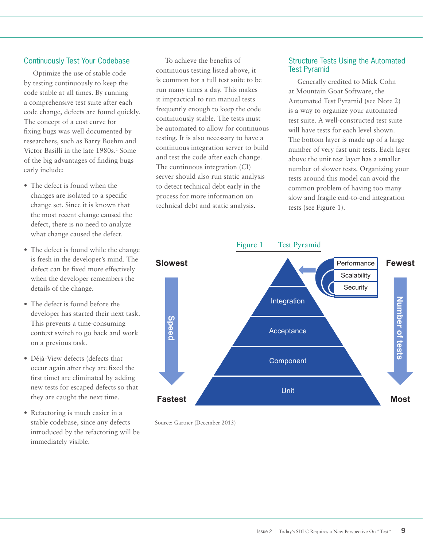## Continuously Test Your Codebase

Optimize the use of stable code by testing continuously to keep the code stable at all times. By running a comprehensive test suite after each code change, defects are found quickly. The concept of a cost curve for fixing bugs was well documented by researchers, such as Barry Boehm and Victor Basilli in the late 1980s.<sup>1</sup> Some of the big advantages of finding bugs early include:

- The defect is found when the changes are isolated to a specific change set. Since it is known that the most recent change caused the defect, there is no need to analyze what change caused the defect.
- The defect is found while the change is fresh in the developer's mind. The defect can be fixed more effectively when the developer remembers the details of the change.
- The defect is found before the developer has started their next task. This prevents a time-consuming context switch to go back and work on a previous task.
- Déjà-View defects (defects that occur again after they are fixed the first time) are eliminated by adding new tests for escaped defects so that they are caught the next time.
- Refactoring is much easier in a stable codebase, since any defects introduced by the refactoring will be immediately visible.

To achieve the benefits of continuous testing listed above, it is common for a full test suite to be run many times a day. This makes it impractical to run manual tests frequently enough to keep the code continuously stable. The tests must be automated to allow for continuous testing. It is also necessary to have a continuous integration server to build and test the code after each change. The continuous integration (CI) server should also run static analysis to detect technical debt early in the process for more information on technical debt and static analysis.

## Structure Tests Using the Automated Test Pyramid

Generally credited to Mick Cohn at Mountain Goat Software, the Automated Test Pyramid (see Note 2) is a way to organize your automated test suite. A well-constructed test suite will have tests for each level shown. The bottom layer is made up of a large number of very fast unit tests. Each layer above the unit test layer has a smaller number of slower tests. Organizing your tests around this model can avoid the common problem of having too many slow and fragile end-to-end integration tests (see Figure 1).



Source: Gartner (December 2013)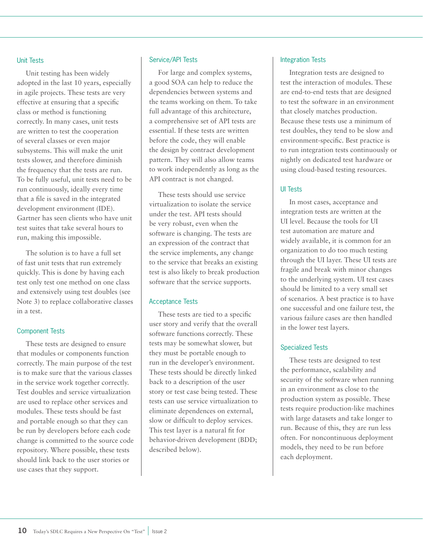#### Unit Tests

Unit testing has been widely adopted in the last 10 years, especially in agile projects. These tests are very effective at ensuring that a specific class or method is functioning correctly. In many cases, unit tests are written to test the cooperation of several classes or even major subsystems. This will make the unit tests slower, and therefore diminish the frequency that the tests are run. To be fully useful, unit tests need to be run continuously, ideally every time that a file is saved in the integrated development environment (IDE). Gartner has seen clients who have unit test suites that take several hours to run, making this impossible.

The solution is to have a full set of fast unit tests that run extremely quickly. This is done by having each test only test one method on one class and extensively using test doubles (see Note 3) to replace collaborative classes in a test.

#### Component Tests

These tests are designed to ensure that modules or components function correctly. The main purpose of the test is to make sure that the various classes in the service work together correctly. Test doubles and service virtualization are used to replace other services and modules. These tests should be fast and portable enough so that they can be run by developers before each code change is committed to the source code repository. Where possible, these tests should link back to the user stories or use cases that they support.

#### Service/API Tests

For large and complex systems, a good SOA can help to reduce the dependencies between systems and the teams working on them. To take full advantage of this architecture, a comprehensive set of API tests are essential. If these tests are written before the code, they will enable the design by contract development pattern. They will also allow teams to work independently as long as the API contract is not changed.

These tests should use service virtualization to isolate the service under the test. API tests should be very robust, even when the software is changing. The tests are an expression of the contract that the service implements, any change to the service that breaks an existing test is also likely to break production software that the service supports.

#### Acceptance Tests

These tests are tied to a specific user story and verify that the overall software functions correctly. These tests may be somewhat slower, but they must be portable enough to run in the developer's environment. These tests should be directly linked back to a description of the user story or test case being tested. These tests can use service virtualization to eliminate dependences on external, slow or difficult to deploy services. This test layer is a natural fit for behavior-driven development (BDD; described below).

#### Integration Tests

Integration tests are designed to test the interaction of modules. These are end-to-end tests that are designed to test the software in an environment that closely matches production. Because these tests use a minimum of test doubles, they tend to be slow and environment-specific. Best practice is to run integration tests continuously or nightly on dedicated test hardware or using cloud-based testing resources.

#### UI Tests

In most cases, acceptance and integration tests are written at the UI level. Because the tools for UI test automation are mature and widely available, it is common for an organization to do too much testing through the UI layer. These UI tests are fragile and break with minor changes to the underlying system. UI test cases should be limited to a very small set of scenarios. A best practice is to have one successful and one failure test, the various failure cases are then handled in the lower test layers.

#### Specialized Tests

These tests are designed to test the performance, scalability and security of the software when running in an environment as close to the production system as possible. These tests require production-like machines with large datasets and take longer to run. Because of this, they are run less often. For noncontinuous deployment models, they need to be run before each deployment.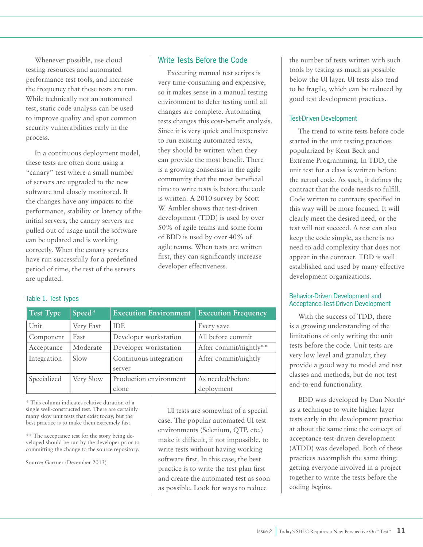Whenever possible, use cloud testing resources and automated performance test tools, and increase the frequency that these tests are run. While technically not an automated test, static code analysis can be used to improve quality and spot common security vulnerabilities early in the process.

In a continuous deployment model, these tests are often done using a "canary" test where a small number of servers are upgraded to the new software and closely monitored. If the changes have any impacts to the performance, stability or latency of the initial servers, the canary servers are pulled out of usage until the software can be updated and is working correctly. When the canary servers have run successfully for a predefined period of time, the rest of the servers are updated.

## Write Tests Before the Code

Executing manual test scripts is very time-consuming and expensive, so it makes sense in a manual testing environment to defer testing until all changes are complete. Automating tests changes this cost-benefit analysis. Since it is very quick and inexpensive to run existing automated tests, they should be written when they can provide the most benefit. There is a growing consensus in the agile community that the most beneficial time to write tests is before the code is written. A 2010 survey by Scott W. Ambler shows that test-driven development (TDD) is used by over 50% of agile teams and some form of BDD is used by over 40% of agile teams. When tests are written first, they can significantly increase developer effectiveness.

## Table 1. Test Types

| <b>Test Type</b> | Speed*    | <b>Execution Environment</b> | <b>Execution Frequency</b> |
|------------------|-----------|------------------------------|----------------------------|
| Unit             | Very Fast | <b>IDE</b>                   | Every save                 |
| Component        | Fast      | Developer workstation        | All before commit          |
| Acceptance       | Moderate  | Developer workstation        | After commit/nightly**     |
| Integration      | Slow      | Continuous integration       | After commit/nightly       |
|                  |           | server                       |                            |
| Specialized      | Very Slow | Production environment       | As needed/before           |
|                  |           | clone                        | deployment                 |

\* This column indicates relative duration of a single well-constructed test. There are certainly many slow unit tests that exist today, but the best practice is to make them extremely fast.

\*\* The acceptance test for the story being developed should be run by the developer prior to committing the change to the source repository.

Source: Gartner (December 2013)

UI tests are somewhat of a special case. The popular automated UI test environments (Selenium, QTP, etc.) make it difficult, if not impossible, to write tests without having working software first. In this case, the best practice is to write the test plan first and create the automated test as soon as possible. Look for ways to reduce

the number of tests written with such tools by testing as much as possible below the UI layer. UI tests also tend to be fragile, which can be reduced by good test development practices.

## Test-Driven Development

The trend to write tests before code started in the unit testing practices popularized by Kent Beck and Extreme Programming. In TDD, the unit test for a class is written before the actual code. As such, it defines the contract that the code needs to fulfill. Code written to contracts specified in this way will be more focused. It will clearly meet the desired need, or the test will not succeed. A test can also keep the code simple, as there is no need to add complexity that does not appear in the contract. TDD is well established and used by many effective development organizations.

### Behavior-Driven Development and Acceptance-Test-Driven Development

With the success of TDD, there is a growing understanding of the limitations of only writing the unit tests before the code. Unit tests are very low level and granular, they provide a good way to model and test classes and methods, but do not test end-to-end functionality.

BDD was developed by Dan North<sup>2</sup> as a technique to write higher layer tests early in the development practice at about the same time the concept of acceptance-test-driven development (ATDD) was developed. Both of these practices accomplish the same thing: getting everyone involved in a project together to write the tests before the coding begins.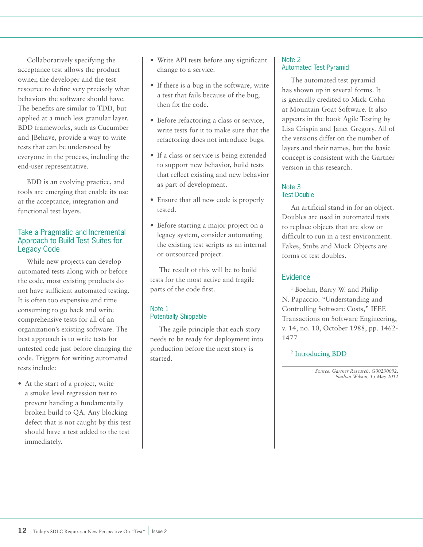Collaboratively specifying the acceptance test allows the product owner, the developer and the test resource to define very precisely what behaviors the software should have. The benefits are similar to TDD, but applied at a much less granular layer. BDD frameworks, such as Cucumber and JBehave, provide a way to write tests that can be understood by everyone in the process, including the end-user representative.

BDD is an evolving practice, and tools are emerging that enable its use at the acceptance, integration and functional test layers.

## Take a Pragmatic and Incremental Approach to Build Test Suites for Legacy Code

While new projects can develop automated tests along with or before the code, most existing products do not have sufficient automated testing. It is often too expensive and time consuming to go back and write comprehensive tests for all of an organization's existing software. The best approach is to write tests for untested code just before changing the code. Triggers for writing automated tests include:

• At the start of a project, write a smoke level regression test to prevent handing a fundamentally broken build to QA. Any blocking defect that is not caught by this test should have a test added to the test immediately.

- Write API tests before any significant change to a service.
- If there is a bug in the software, write a test that fails because of the bug, then fix the code.
- Before refactoring a class or service, write tests for it to make sure that the refactoring does not introduce bugs.
- If a class or service is being extended to support new behavior, build tests that reflect existing and new behavior as part of development.
- Ensure that all new code is properly tested.
- Before starting a major project on a legacy system, consider automating the existing test scripts as an internal or outsourced project.

The result of this will be to build tests for the most active and fragile parts of the code first.

## Note 1 Potentially Shippable

The agile principle that each story needs to be ready for deployment into production before the next story is started.

## Note 2 Automated Test Pyramid

The automated test pyramid has shown up in several forms. It is generally credited to Mick Cohn at Mountain Goat Software. It also appears in the book Agile Testing by Lisa Crispin and Janet Gregory. All of the versions differ on the number of layers and their names, but the basic concept is consistent with the Gartner version in this research.

## Note 3 Test Double

An artificial stand-in for an object. Doubles are used in automated tests to replace objects that are slow or difficult to run in a test environment. Fakes, Stubs and Mock Objects are forms of test doubles.

## Evidence

<sup>1</sup> Boehm, Barry W. and Philip N. Papaccio. "Understanding and Controlling Software Costs," IEEE Transactions on Software Engineering, v. 14, no. 10, October 1988, pp. 1462- 1477

<sup>2</sup> [Introducing BDD](http://dannorth.net/introducing-bdd/)

*Source: Gartner Research, G00230092, Nathan Wilson, 15 May 2012*